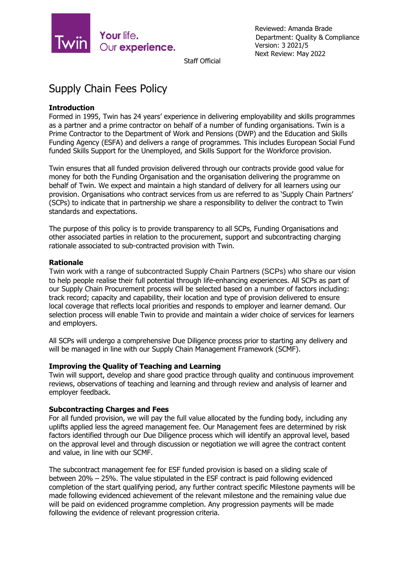

Reviewed: Amanda Brade Department: Quality & Compliance Version: 3 2021/5 Next Review: May 2022

Staff Official

# Supply Chain Fees Policy

# **Introduction**

Formed in 1995, Twin has 24 years' experience in delivering employability and skills programmes as a partner and a prime contractor on behalf of a number of funding organisations. Twin is a Prime Contractor to the Department of Work and Pensions (DWP) and the Education and Skills Funding Agency (ESFA) and delivers a range of programmes. This includes European Social Fund funded Skills Support for the Unemployed, and Skills Support for the Workforce provision.

Twin ensures that all funded provision delivered through our contracts provide good value for money for both the Funding Organisation and the organisation delivering the programme on behalf of Twin. We expect and maintain a high standard of delivery for all learners using our provision. Organisations who contract services from us are referred to as 'Supply Chain Partners' (SCPs) to indicate that in partnership we share a responsibility to deliver the contract to Twin standards and expectations.

The purpose of this policy is to provide transparency to all SCPs, Funding Organisations and other associated parties in relation to the procurement, support and subcontracting charging rationale associated to sub-contracted provision with Twin.

## **Rationale**

Twin work with a range of subcontracted Supply Chain Partners (SCPs) who share our vision to help people realise their full potential through life-enhancing experiences. All SCPs as part of our Supply Chain Procurement process will be selected based on a number of factors including: track record; capacity and capability, their location and type of provision delivered to ensure local coverage that reflects local priorities and responds to employer and learner demand. Our selection process will enable Twin to provide and maintain a wider choice of services for learners and employers.

All SCPs will undergo a comprehensive Due Diligence process prior to starting any delivery and will be managed in line with our Supply Chain Management Framework (SCMF).

## **Improving the Quality of Teaching and Learning**

Twin will support, develop and share good practice through quality and continuous improvement reviews, observations of teaching and learning and through review and analysis of learner and employer feedback.

#### **Subcontracting Charges and Fees**

For all funded provision, we will pay the full value allocated by the funding body, including any uplifts applied less the agreed management fee. Our Management fees are determined by risk factors identified through our Due Diligence process which will identify an approval level, based on the approval level and through discussion or negotiation we will agree the contract content and value, in line with our SCMF.

The subcontract management fee for ESF funded provision is based on a sliding scale of between 20% – 25%. The value stipulated in the ESF contract is paid following evidenced completion of the start qualifying period, any further contract specific Milestone payments will be made following evidenced achievement of the relevant milestone and the remaining value due will be paid on evidenced programme completion. Any progression payments will be made following the evidence of relevant progression criteria.